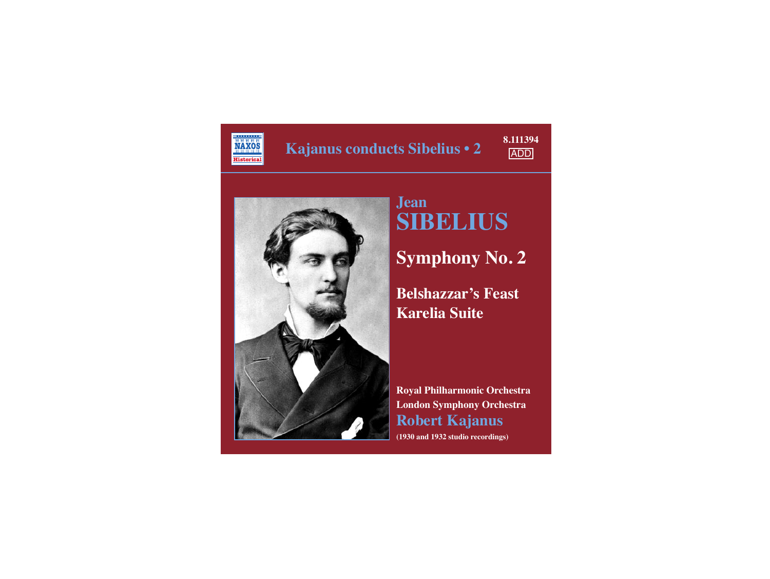

**Kajanus conducts Sibelius • 2**





## **Jean SIBELIUS**

**Symphony No. 2**

**Belshazzar's Feast Karelia Suite**

**Royal Philharmonic Orchestra London Symphony Orchestra Robert Kajanus (1930 and 1932 studio recordings)**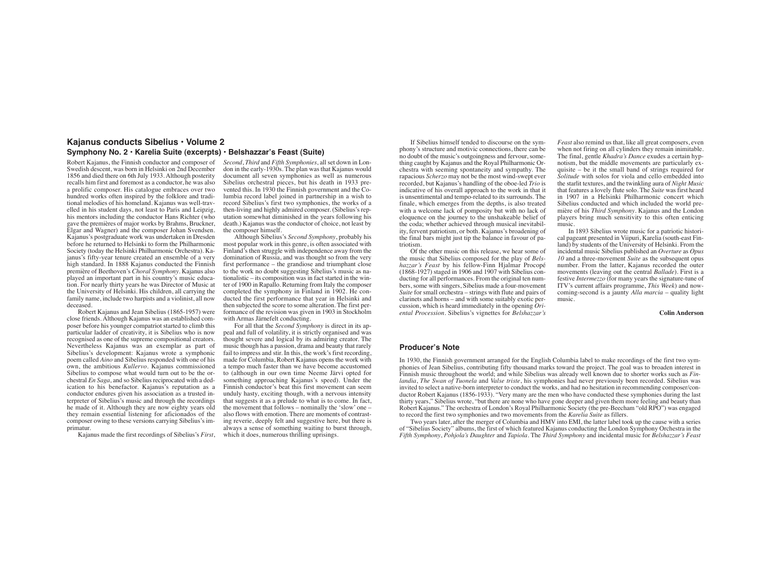## **Kajanus conducts Sibelius • Volume 2 Symphony No. 2 • Karelia Suite (excerpts) • Belshazzar's Feast (Suite)**

Robert Kajanus, the Finnish conductor and composer of Swedish descent, was born in Helsinki on 2nd December 1856 and died there on 6th July 1933. Although posterity recalls him first and foremost as a conductor, he was also a prolific composer. His catalogue embraces over two hundred works often inspired by the folklore and traditional melodies of his homeland. Kajanus was well-travelled in his student days, not least to Paris and Leipzig, his mentors including the conductor Hans Richter (who gave the premières of major works by Brahms, Bruckner, Elgar and Wagner) and the composer Johan Svendsen. Kajanus's postgraduate work was undertaken in Dresden before he returned to Helsinki to form the Philharmonic Society (today the Helsinki Philharmonic Orchestra). Kajanus's fifty-year tenure created an ensemble of a very high standard. In 1888 Kajanus conducted the Finnish première of Beethoven's *Choral Symphony*. Kajanus also played an important part in his country's music education. For nearly thirty years he was Director of Music at the University of Helsinki. His children, all carrying the family name, include two harpists and a violinist, all now deceased.

 Robert Kajanus and Jean Sibelius (1865-1957) were close friends. Although Kajanus was an established composer before his younger compatriot started to climb this particular ladder of creativity, it is Sibelius who is now recognised as one of the supreme compositional creators. Nevertheless Kajanus was an exemplar as part of Sibelius's development: Kajanus wrote a symphonic poem called *Aino* and Sibelius responded with one of his own, the ambitious *Kullervo*. Kajanus commissioned Sibelius to compose what would turn out to be the orchestral *En Saga*, and so Sibelius reciprocated with a dedication to his benefactor. Kajanus's reputation as a conductor endures given his association as a trusted interpreter of Sibelius's music and through the recordings he made of it. Although they are now eighty years old they remain essential listening for aficionados of the composer owing to these versions carrying Sibelius's imprimatur.

Kajanus made the first recordings of Sibelius's *First*,

*Second*, *Third* and *Fifth Symphonies*, all set down in London in the early-1930s. The plan was that Kajanus would document all seven symphonies as well as numerous Sibelius orchestral pieces, but his death in 1933 prevented this. In 1930 the Finnish government and the Columbia record label joined in partnership in a wish to record Sibelius's first two symphonies, the works of a then-living and highly admired composer. (Sibelius's reputation somewhat diminished in the years following his death.) Kajanus was the conductor of choice, not least by the composer himself.

 Although Sibelius's *Second Symphony*, probably his most popular work in this genre, is often associated with Finland's then struggle with independence away from the domination of Russia, and was thought so from the very first performance – the grandiose and triumphant close to the work no doubt suggesting Sibelius's music as nationalistic – its composition was in fact started in the winter of 1900 in Rapallo. Returning from Italy the composer completed the symphony in Finland in 1902. He conducted the first performance that year in Helsinki and then subjected the score to some alteration. The first performance of the revision was given in 1903 in Stockholm with Armas Järnefelt conducting.

 For all that the *Second Symphony* is direct in its appeal and full of volatility, it is strictly organised and was thought severe and logical by its admiring creator. The music though has a passion, drama and beauty that rarely fail to impress and stir. In this, the work's first recording, made for Columbia, Robert Kajanus opens the work with a tempo much faster than we have become accustomed to (although in our own time Neeme Järvi opted for something approaching Kajanus's speed). Under the Finnish conductor's beat this first movement can seem unduly hasty, exciting though, with a nervous intensity that suggests it as a prelude to what is to come. In fact, the movement that follows – nominally the 'slow' one – also flows with emotion. There are moments of contrasting reverie, deeply felt and suggestive here, but there is always a sense of something waiting to burst through, which it does, numerous thrilling uprisings.

 If Sibelius himself tended to discourse on the symphony's structure and motivic connections, there can be no doubt of the music's outgoingness and fervour, something caught by Kajanus and the Royal Philharmonic Orchestra with seeming spontaneity and sympathy. The rapacious *Scherzo* may not be the most wind-swept ever recorded, but Kajanus's handling of the oboe-led *Trio* is indicative of his overall approach to the work in that it is unsentimental and tempo-related to its surrounds. The finale, which emerges from the depths, is also treated with a welcome lack of pomposity but with no lack of eloquence on the journey to the unshakeable belief of the coda; whether achieved through musical inevitability, fervent patriotism, or both. Kajanus's broadening of the final bars might just tip the balance in favour of patriotism.

 Of the other music on this release, we hear some of the music that Sibelius composed for the play of *Belshazzar's Feast* by his fellow-Finn Hjalmar Procopé (1868-1927) staged in 1906 and 1907 with Sibelius conducting for all performances. From the original ten numbers, some with singers, Sibelius made a four-movement *Suite* for small orchestra – strings with flute and pairs of clarinets and horns – and with some suitably exotic percussion, which is heard immediately in the opening *Oriental Procession*. Sibelius's vignettes for *Belshazzar's*

*Feast* also remind us that, like all great composers, even when not firing on all cylinders they remain inimitable. The final, gentle *Khadra's Dance* exudes a certain hypnotism, but the middle movements are particularly exquisite – be it the small band of strings required for *Solitude* with solos for viola and cello embedded into the starlit textures, and the twinkling aura of *Night Music* that features a lovely flute solo. The *Suite* was first heard in 1907 in a Helsinki Philharmonic concert which Sibelius conducted and which included the world première of his *Third Symphony*. Kajanus and the London players bring much sensitivity to this often enticing music.

 In 1893 Sibelius wrote music for a patriotic historical pageant presented in Viipuri, Karelia (south-east Finland) by students of the University of Helsinki. From the incidental music Sibelius published an *Overture* as *Opus 10* and a three-movement *Suite* as the subsequent opus number. From the latter, Kajanus recorded the outer movements (leaving out the central *Ballade*). First is a festive *Intermezzo* (for many years the signature-tune of ITV's current affairs programme, *This Week*) and nowcoming-second is a jaunty *Alla marcia* – quality light music.

**Colin Anderson**

## **Producer's Note**

In 1930, the Finnish government arranged for the English Columbia label to make recordings of the first two symphonies of Jean Sibelius, contributing fifty thousand marks toward the project. The goal was to broaden interest in Finnish music throughout the world; and while Sibelius was already well known due to shorter works such as *Finlandia*, *The Swan of Tuonela* and *Valse triste*, his symphonies had never previously been recorded. Sibelius was invited to select a native-born interpreter to conduct the works, and had no hesitation in recommending composer/conductor Robert Kajanus (1856-1933). "Very many are the men who have conducted these symphonies during the last thirty years," Sibelius wrote, "but there are none who have gone deeper and given them more feeling and beauty than Robert Kajanus." The orchestra of London's Royal Philharmonic Society (the pre-Beecham "old RPO") was engaged to record the first two symphonies and two movements from the *Karelia Suite* as fillers.

 Two years later, after the merger of Columbia and HMV into EMI, the latter label took up the cause with a series of "Sibelius Society" albums, the first of which featured Kajanus conducting the London Symphony Orchestra in the *Fifth Symphony*, *Pohjola's Daughter* and *Tapiola*. The *Third Symphony* and incidental music for *Belshazzar's Feast*